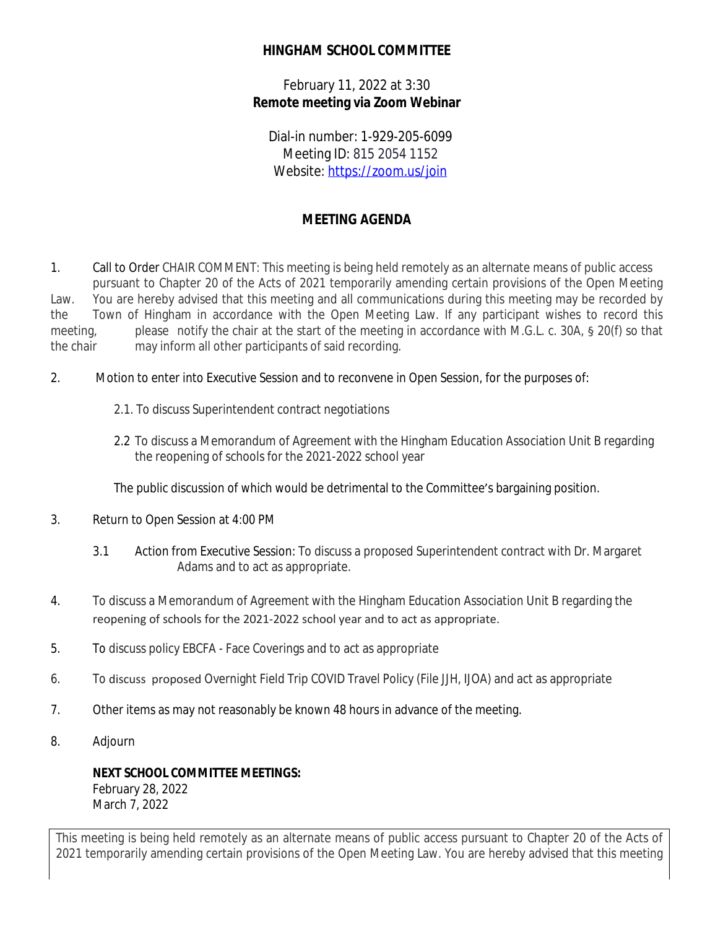## **HINGHAM SCHOOL COMMITTEE**

February 11, 2022 at 3:30 **Remote meeting via Zoom Webinar**

Dial-in number: 1-929-205-6099 Meeting ID: 815 2054 1152 Website: <https://zoom.us/join>

## **MEETING AGENDA**

- 1. Call to Order CHAIR COMMENT: This meeting is being held remotely as an alternate means of public access pursuant to Chapter 20 of the Acts of 2021 temporarily amending certain provisions of the Open Meeting Law. You are hereby advised that this meeting and all communications during this meeting may be recorded by the Town of Hingham in accordance with the Open Meeting Law. If any participant wishes to record this meeting, please notify the chair at the start of the meeting in accordance with M.G.L. c. 30A, § 20(f) so that the chair may inform all other participants of said recording.
- 2. Motion to enter into Executive Session and to reconvene in Open Session, for the purposes of:
	- 2.1. To discuss Superintendent contract negotiations
	- 2.2 To discuss a Memorandum of Agreement with the Hingham Education Association Unit B regarding the reopening of schools for the 2021-2022 school year

The public discussion of which would be detrimental to the Committee's bargaining position.

- 3. Return to Open Session at 4:00 PM
	- 3.1 Action from Executive Session: To discuss a proposed Superintendent contract with Dr. Margaret Adams and to act as appropriate.
- 4. To discuss a Memorandum of Agreement with the Hingham Education Association Unit B regarding the reopening of schools for the 2021-2022 school year and to act as appropriate.
- 5. To discuss policy EBCFA Face Coverings and to act as appropriate
- 6. To discuss proposed Overnight Field Trip COVID Travel Policy (File JJH, IJOA) and act as appropriate
- 7. Other items as may not reasonably be known 48 hours in advance of the meeting.
- 8. Adjourn

**NEXT SCHOOL COMMITTEE MEETINGS:** February 28, 2022 March 7, 2022

This meeting is being held remotely as an alternate means of public access pursuant to Chapter 20 of the Acts of 2021 temporarily amending certain provisions of the Open Meeting Law. You are hereby advised that this meeting